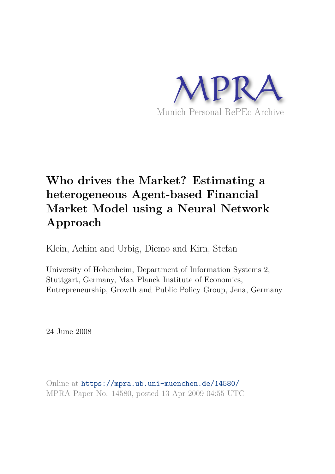

## **Who drives the Market? Estimating a heterogeneous Agent-based Financial Market Model using a Neural Network Approach**

Klein, Achim and Urbig, Diemo and Kirn, Stefan

University of Hohenheim, Department of Information Systems 2, Stuttgart, Germany, Max Planck Institute of Economics, Entrepreneurship, Growth and Public Policy Group, Jena, Germany

24 June 2008

Online at https://mpra.ub.uni-muenchen.de/14580/ MPRA Paper No. 14580, posted 13 Apr 2009 04:55 UTC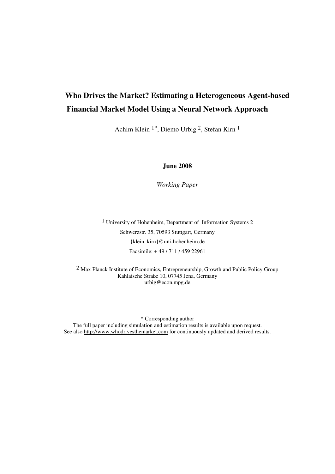## **Who Drives the Market? Estimating a Heterogeneous Agent-based Financial Market Model Using a Neural Network Approach**

Achim Klein 1\*, Diemo Urbig 2, Stefan Kirn 1

**June 2008** 

*Working Paper* 

1 University of Hohenheim, Department of Information Systems 2 Schwerzstr. 35, 70593 Stuttgart, Germany {klein, kirn}@uni-hohenheim.de Facsimile: + 49 / 711 / 459 22961

2 Max Planck Institute of Economics, Entrepreneurship, Growth and Public Policy Group Kahlaische Straße 10, 07745 Jena, Germany urbig@econ.mpg.de

\* Corresponding author

The full paper including simulation and estimation results is available upon request. See also http://www.whodrivesthemarket.com for continuously updated and derived results.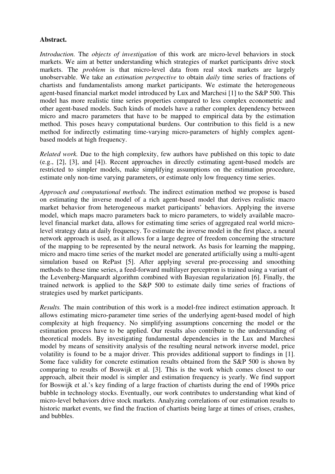## **Abstract.**

*Introduction.* The *objects of investigation* of this work are micro-level behaviors in stock markets. We aim at better understanding which strategies of market participants drive stock markets. The *problem* is that micro-level data from real stock markets are largely unobservable. We take an *estimation perspective* to obtain *daily* time series of fractions of chartists and fundamentalists among market participants. We estimate the heterogeneous agent-based financial market model introduced by Lux and Marchesi [1] to the S&P 500. This model has more realistic time series properties compared to less complex econometric and other agent-based models. Such kinds of models have a rather complex dependency between micro and macro parameters that have to be mapped to empirical data by the estimation method. This poses heavy computational burdens. Our contribution to this field is a new method for indirectly estimating time-varying micro-parameters of highly complex agentbased models at high frequency.

*Related work.* Due to the high complexity, few authors have published on this topic to date (e.g., [2], [3], and [4]). Recent approaches in directly estimating agent-based models are restricted to simpler models, make simplifying assumptions on the estimation procedure, estimate only non-time varying parameters, or estimate only low frequency time series.

*Approach and computational methods.* The indirect estimation method we propose is based on estimating the inverse model of a rich agent-based model that derives realistic macro market behavior from heterogeneous market participants' behaviors. Applying the inverse model, which maps macro parameters back to micro parameters, to widely available macrolevel financial market data, allows for estimating time series of aggregated real world microlevel strategy data at daily frequency. To estimate the inverse model in the first place, a neural network approach is used, as it allows for a large degree of freedom concerning the structure of the mapping to be represented by the neural network. As basis for learning the mapping, micro and macro time series of the market model are generated artificially using a multi-agent simulation based on RePast [5]. After applying several pre-processing and smoothing methods to these time series, a feed-forward multilayer perceptron is trained using a variant of the Levenberg-Marquardt algorithm combined with Bayesian regularization [6]. Finally, the trained network is applied to the S&P 500 to estimate daily time series of fractions of strategies used by market participants.

*Results.* The main contribution of this work is a model-free indirect estimation approach. It allows estimating micro-parameter time series of the underlying agent-based model of high complexity at high frequency. No simplifying assumptions concerning the model or the estimation process have to be applied. Our results also contribute to the understanding of theoretical models. By investigating fundamental dependencies in the Lux and Marchesi model by means of sensitivity analysis of the resulting neural network inverse model, price volatility is found to be a major driver. This provides additional support to findings in [1]. Some face validity for concrete estimation results obtained from the S&P 500 is shown by comparing to results of Boswijk et al. [3]. This is the work which comes closest to our approach, albeit their model is simpler and estimation frequency is yearly. We find support for Boswijk et al.'s key finding of a large fraction of chartists during the end of 1990s price bubble in technology stocks. Eventually, our work contributes to understanding what kind of micro-level behaviors drive stock markets. Analyzing correlations of our estimation results to historic market events, we find the fraction of chartists being large at times of crises, crashes, and bubbles.